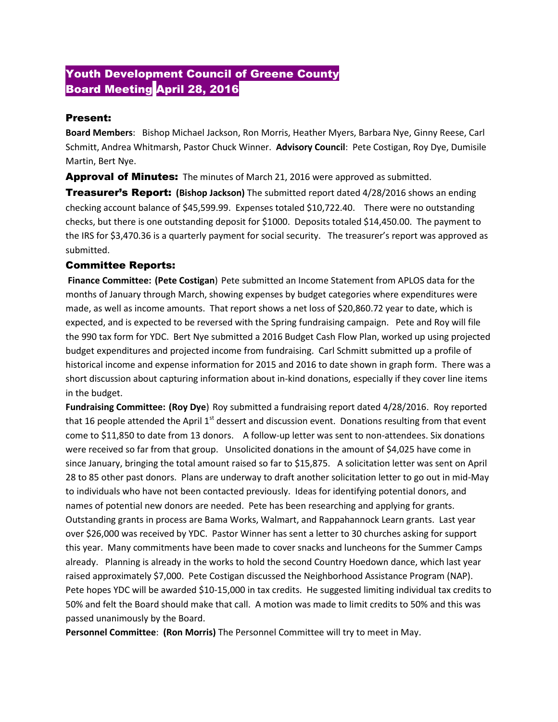## Youth Development Council of Greene County **Board Meeting April 28, 2016**

## Present:

**Board Members**: Bishop Michael Jackson, Ron Morris, Heather Myers, Barbara Nye, Ginny Reese, Carl Schmitt, Andrea Whitmarsh, Pastor Chuck Winner. **Advisory Council**: Pete Costigan, Roy Dye, Dumisile Martin, Bert Nye.

**Approval of Minutes:** The minutes of March 21, 2016 were approved as submitted.

Treasurer's Report: **(Bishop Jackson)** The submitted report dated 4/28/2016 shows an ending checking account balance of \$45,599.99. Expenses totaled \$10,722.40. There were no outstanding checks, but there is one outstanding deposit for \$1000. Deposits totaled \$14,450.00. The payment to the IRS for \$3,470.36 is a quarterly payment for social security. The treasurer's report was approved as submitted.

## Committee Reports:

**Finance Committee: (Pete Costigan**) Pete submitted an Income Statement from APLOS data for the months of January through March, showing expenses by budget categories where expenditures were made, as well as income amounts. That report shows a net loss of \$20,860.72 year to date, which is expected, and is expected to be reversed with the Spring fundraising campaign. Pete and Roy will file the 990 tax form for YDC. Bert Nye submitted a 2016 Budget Cash Flow Plan, worked up using projected budget expenditures and projected income from fundraising. Carl Schmitt submitted up a profile of historical income and expense information for 2015 and 2016 to date shown in graph form. There was a short discussion about capturing information about in-kind donations, especially if they cover line items in the budget.

**Fundraising Committee: (Roy Dye**) Roy submitted a fundraising report dated 4/28/2016. Roy reported that 16 people attended the April  $1<sup>st</sup>$  dessert and discussion event. Donations resulting from that event come to \$11,850 to date from 13 donors. A follow-up letter was sent to non-attendees. Six donations were received so far from that group. Unsolicited donations in the amount of \$4,025 have come in since January, bringing the total amount raised so far to \$15,875. A solicitation letter was sent on April 28 to 85 other past donors. Plans are underway to draft another solicitation letter to go out in mid-May to individuals who have not been contacted previously. Ideas for identifying potential donors, and names of potential new donors are needed. Pete has been researching and applying for grants. Outstanding grants in process are Bama Works, Walmart, and Rappahannock Learn grants. Last year over \$26,000 was received by YDC. Pastor Winner has sent a letter to 30 churches asking for support this year. Many commitments have been made to cover snacks and luncheons for the Summer Camps already. Planning is already in the works to hold the second Country Hoedown dance, which last year raised approximately \$7,000. Pete Costigan discussed the Neighborhood Assistance Program (NAP). Pete hopes YDC will be awarded \$10-15,000 in tax credits. He suggested limiting individual tax credits to 50% and felt the Board should make that call. A motion was made to limit credits to 50% and this was passed unanimously by the Board.

**Personnel Committee**: **(Ron Morris)** The Personnel Committee will try to meet in May.